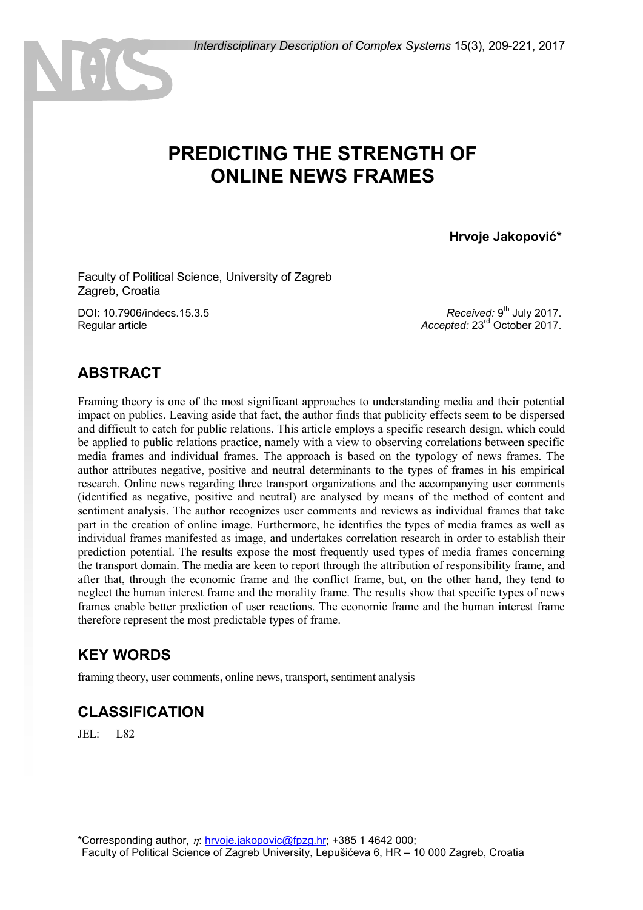# **PREDICTING THE STRENGTH OF ONLINE NEWS FRAMES**

**Hrvoje Jakopović\***

Faculty of Political Science, University of Zagreb Zagreb, Croatia

DOI: 10.7906/indecs.15.3.5 Regular article

Received: 9<sup>th</sup> July 2017. *Accepted:* 23rd October 2017.

### **ABSTRACT**

Framing theory is one of the most significant approaches to understanding media and their potential impact on publics. Leaving aside that fact, the author finds that publicity effects seem to be dispersed and difficult to catch for public relations. This article employs a specific research design, which could be applied to public relations practice, namely with a view to observing correlations between specific media frames and individual frames. The approach is based on the typology of news frames. The author attributes negative, positive and neutral determinants to the types of frames in his empirical research. Online news regarding three transport organizations and the accompanying user comments (identified as negative, positive and neutral) are analysed by means of the method of content and sentiment analysis. The author recognizes user comments and reviews as individual frames that take part in the creation of online image. Furthermore, he identifies the types of media frames as well as individual frames manifested as image, and undertakes correlation research in order to establish their prediction potential. The results expose the most frequently used types of media frames concerning the transport domain. The media are keen to report through the attribution of responsibility frame, and after that, through the economic frame and the conflict frame, but, on the other hand, they tend to neglect the human interest frame and the morality frame. The results show that specific types of news frames enable better prediction of user reactions. The economic frame and the human interest frame therefore represent the most predictable types of frame.

### **KEY WORDS**

framing theory, user comments, online news, transport, sentiment analysis

#### **CLASSIFICATION**

JEL: L82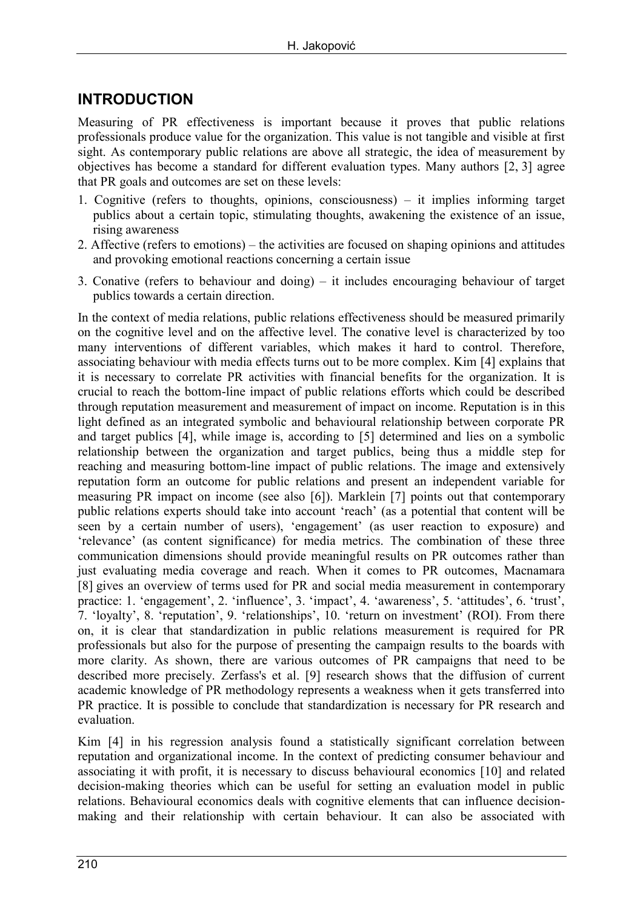## **INTRODUCTION**

Measuring of PR effectiveness is important because it proves that public relations professionals produce value for the organization. This value is not tangible and visible at first sight. As contemporary public relations are above all strategic, the idea of measurement by objectives has become a standard for different evaluation types. Many authors [2, 3] agree that PR goals and outcomes are set on these levels:

- 1. Cognitive (refers to thoughts, opinions, consciousness) it implies informing target publics about a certain topic, stimulating thoughts, awakening the existence of an issue, rising awareness
- 2. Affective (refers to emotions) the activities are focused on shaping opinions and attitudes and provoking emotional reactions concerning a certain issue
- 3. Conative (refers to behaviour and doing) it includes encouraging behaviour of target publics towards a certain direction.

In the context of media relations, public relations effectiveness should be measured primarily on the cognitive level and on the affective level. The conative level is characterized by too many interventions of different variables, which makes it hard to control. Therefore, associating behaviour with media effects turns out to be more complex. Kim [4] explains that it is necessary to correlate PR activities with financial benefits for the organization. It is crucial to reach the bottom-line impact of public relations efforts which could be described through reputation measurement and measurement of impact on income. Reputation is in this light defined as an integrated symbolic and behavioural relationship between corporate PR and target publics [4], while image is, according to [5] determined and lies on a symbolic relationship between the organization and target publics, being thus a middle step for reaching and measuring bottom-line impact of public relations. The image and extensively reputation form an outcome for public relations and present an independent variable for measuring PR impact on income (see also [6]). Marklein [7] points out that contemporary public relations experts should take into account 'reach' (as a potential that content will be seen by a certain number of users), 'engagement' (as user reaction to exposure) and 'relevance' (as content significance) for media metrics. The combination of these three communication dimensions should provide meaningful results on PR outcomes rather than just evaluating media coverage and reach. When it comes to PR outcomes, Macnamara [8] gives an overview of terms used for PR and social media measurement in contemporary practice: 1. 'engagement', 2. 'influence', 3. 'impact', 4. 'awareness', 5. 'attitudes', 6. 'trust', 7. 'loyalty', 8. 'reputation', 9. 'relationships', 10. 'return on investment' (ROI). From there on, it is clear that standardization in public relations measurement is required for PR professionals but also for the purpose of presenting the campaign results to the boards with more clarity. As shown, there are various outcomes of PR campaigns that need to be described more precisely. Zerfass's et al. [9] research shows that the diffusion of current academic knowledge of PR methodology represents a weakness when it gets transferred into PR practice. It is possible to conclude that standardization is necessary for PR research and evaluation.

Kim [4] in his regression analysis found a statistically significant correlation between reputation and organizational income. In the context of predicting consumer behaviour and associating it with profit, it is necessary to discuss behavioural economics [10] and related decision-making theories which can be useful for setting an evaluation model in public relations. Behavioural economics deals with cognitive elements that can influence decisionmaking and their relationship with certain behaviour. It can also be associated with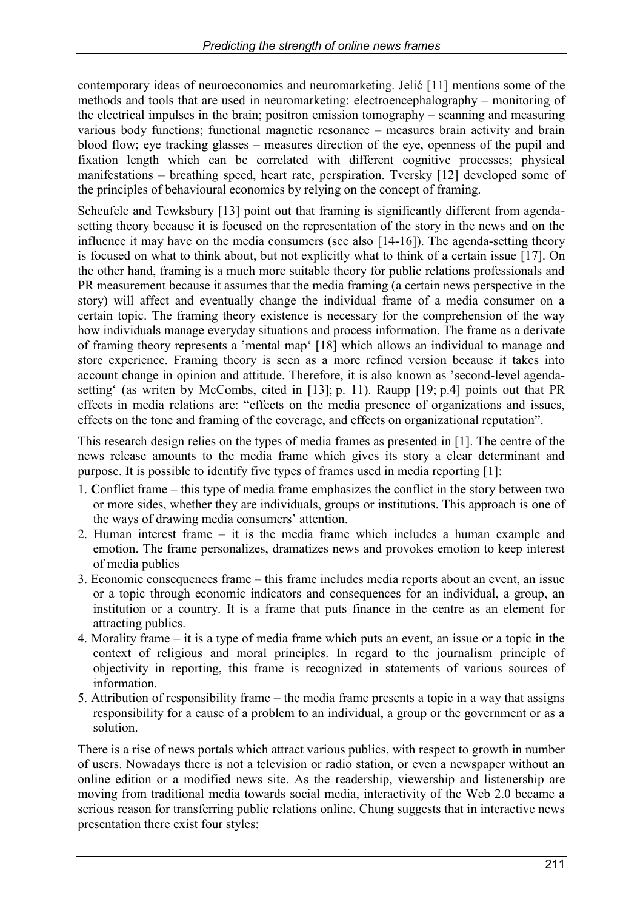contemporary ideas of neuroeconomics and neuromarketing. Jelić [11] mentions some of the methods and tools that are used in neuromarketing: electroencephalography – monitoring of the electrical impulses in the brain; positron emission tomography – scanning and measuring various body functions; functional magnetic resonance – measures brain activity and brain blood flow; eye tracking glasses – measures direction of the eye, openness of the pupil and fixation length which can be correlated with different cognitive processes; physical manifestations – breathing speed, heart rate, perspiration. Tversky [12] developed some of the principles of behavioural economics by relying on the concept of framing.

Scheufele and Tewksbury [13] point out that framing is significantly different from agendasetting theory because it is focused on the representation of the story in the news and on the influence it may have on the media consumers (see also [14-16]). The agenda-setting theory is focused on what to think about, but not explicitly what to think of a certain issue [17]. On the other hand, framing is a much more suitable theory for public relations professionals and PR measurement because it assumes that the media framing (a certain news perspective in the story) will affect and eventually change the individual frame of a media consumer on a certain topic. The framing theory existence is necessary for the comprehension of the way how individuals manage everyday situations and process information. The frame as a derivate of framing theory represents a 'mental map' [18] which allows an individual to manage and store experience. Framing theory is seen as a more refined version because it takes into account change in opinion and attitude. Therefore, it is also known as 'second-level agendasetting' (as writen by McCombs, cited in [13]; p. 11). Raupp [19; p.4] points out that PR effects in media relations are: "effects on the media presence of organizations and issues, effects on the tone and framing of the coverage, and effects on organizational reputation".

This research design relies on the types of media frames as presented in [1]. The centre of the news release amounts to the media frame which gives its story a clear determinant and purpose. It is possible to identify five types of frames used in media reporting [1]:

- 1. **C**onflict frame this type of media frame emphasizes the conflict in the story between two or more sides, whether they are individuals, groups or institutions. This approach is one of the ways of drawing media consumers' attention.
- 2. Human interest frame it is the media frame which includes a human example and emotion. The frame personalizes, dramatizes news and provokes emotion to keep interest of media publics
- 3. Economic consequences frame this frame includes media reports about an event, an issue or a topic through economic indicators and consequences for an individual, a group, an institution or a country. It is a frame that puts finance in the centre as an element for attracting publics.
- 4. Morality frame it is a type of media frame which puts an event, an issue or a topic in the context of religious and moral principles. In regard to the journalism principle of objectivity in reporting, this frame is recognized in statements of various sources of information.
- 5. Attribution of responsibility frame the media frame presents a topic in a way that assigns responsibility for a cause of a problem to an individual, a group or the government or as a solution.

There is a rise of news portals which attract various publics, with respect to growth in number of users. Nowadays there is not a television or radio station, or even a newspaper without an online edition or a modified news site. As the readership, viewership and listenership are moving from traditional media towards social media, interactivity of the Web 2.0 became a serious reason for transferring public relations online. Chung suggests that in interactive news presentation there exist four styles: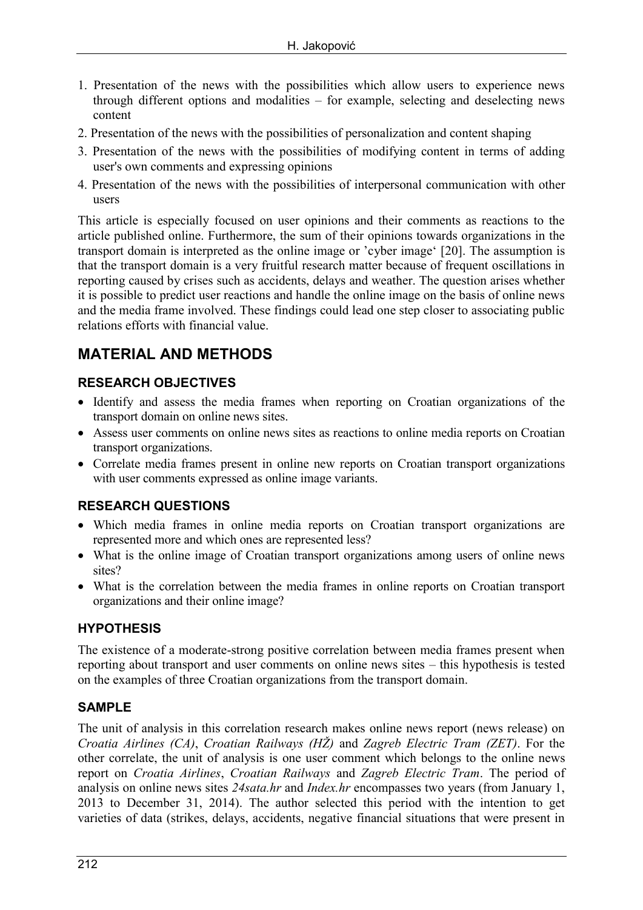- 1. Presentation of the news with the possibilities which allow users to experience news through different options and modalities – for example, selecting and deselecting news content
- 2. Presentation of the news with the possibilities of personalization and content shaping
- 3. Presentation of the news with the possibilities of modifying content in terms of adding user's own comments and expressing opinions
- 4. Presentation of the news with the possibilities of interpersonal communication with other users

This article is especially focused on user opinions and their comments as reactions to the article published online. Furthermore, the sum of their opinions towards organizations in the transport domain is interpreted as the online image or 'cyber image' [20]. The assumption is that the transport domain is a very fruitful research matter because of frequent oscillations in reporting caused by crises such as accidents, delays and weather. The question arises whether it is possible to predict user reactions and handle the online image on the basis of online news and the media frame involved. These findings could lead one step closer to associating public relations efforts with financial value.

## **MATERIAL AND METHODS**

#### **RESEARCH OBJECTIVES**

- Identify and assess the media frames when reporting on Croatian organizations of the transport domain on online news sites.
- Assess user comments on online news sites as reactions to online media reports on Croatian transport organizations.
- Correlate media frames present in online new reports on Croatian transport organizations with user comments expressed as online image variants.

#### **RESEARCH QUESTIONS**

- Which media frames in online media reports on Croatian transport organizations are represented more and which ones are represented less?
- What is the online image of Croatian transport organizations among users of online news sites?
- What is the correlation between the media frames in online reports on Croatian transport organizations and their online image?

#### **HYPOTHESIS**

The existence of a moderate-strong positive correlation between media frames present when reporting about transport and user comments on online news sites – this hypothesis is tested on the examples of three Croatian organizations from the transport domain.

#### **SAMPLE**

The unit of analysis in this correlation research makes online news report (news release) on *Croatia Airlines (CA)*, *Croatian Railways (HŽ)* and *Zagreb Electric Tram (ZET)*. For the other correlate, the unit of analysis is one user comment which belongs to the online news report on *Croatia Airlines*, *Croatian Railways* and *Zagreb Electric Tram*. The period of analysis on online news sites *24sata.hr* and *Index.hr* encompasses two years (from January 1, 2013 to December 31, 2014). The author selected this period with the intention to get varieties of data (strikes, delays, accidents, negative financial situations that were present in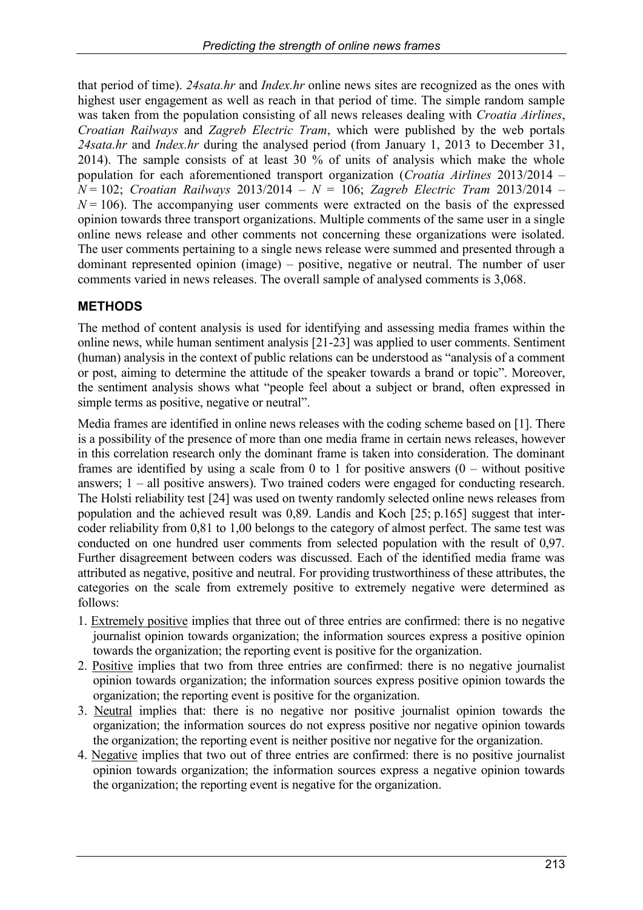that period of time). *24sata.hr* and *Index.hr* online news sites are recognized as the ones with highest user engagement as well as reach in that period of time. The simple random sample was taken from the population consisting of all news releases dealing with *Croatia Airlines*, *Croatian Railways* and *Zagreb Electric Tram*, which were published by the web portals *24sata.hr* and *Index.hr* during the analysed period (from January 1, 2013 to December 31, 2014). The sample consists of at least 30 % of units of analysis which make the whole population for each aforementioned transport organization (*Croatia Airlines* 2013/2014 – *N* = 102; *Croatian Railways* 2013/2014 – *N* = 106; *Zagreb Electric Tram* 2013/2014 –  $N = 106$ ). The accompanying user comments were extracted on the basis of the expressed opinion towards three transport organizations. Multiple comments of the same user in a single online news release and other comments not concerning these organizations were isolated. The user comments pertaining to a single news release were summed and presented through a dominant represented opinion (image) – positive, negative or neutral. The number of user comments varied in news releases. The overall sample of analysed comments is 3,068.

#### **METHODS**

The method of content analysis is used for identifying and assessing media frames within the online news, while human sentiment analysis [21-23] was applied to user comments. Sentiment (human) analysis in the context of public relations can be understood as "analysis of a comment or post, aiming to determine the attitude of the speaker towards a brand or topic". Moreover, the sentiment analysis shows what "people feel about a subject or brand, often expressed in simple terms as positive, negative or neutral".

Media frames are identified in online news releases with the coding scheme based on [1]. There is a possibility of the presence of more than one media frame in certain news releases, however in this correlation research only the dominant frame is taken into consideration. The dominant frames are identified by using a scale from 0 to 1 for positive answers  $(0 -$  without positive answers; 1 – all positive answers). Two trained coders were engaged for conducting research. The Holsti reliability test [24] was used on twenty randomly selected online news releases from population and the achieved result was 0,89. Landis and Koch [25; p.165] suggest that intercoder reliability from 0,81 to 1,00 belongs to the category of almost perfect. The same test was conducted on one hundred user comments from selected population with the result of 0,97. Further disagreement between coders was discussed. Each of the identified media frame was attributed as negative, positive and neutral. For providing trustworthiness of these attributes, the categories on the scale from extremely positive to extremely negative were determined as follows:

- 1. Extremely positive implies that three out of three entries are confirmed: there is no negative journalist opinion towards organization; the information sources express a positive opinion towards the organization; the reporting event is positive for the organization.
- 2. Positive implies that two from three entries are confirmed: there is no negative journalist opinion towards organization; the information sources express positive opinion towards the organization; the reporting event is positive for the organization.
- 3. Neutral implies that: there is no negative nor positive journalist opinion towards the organization; the information sources do not express positive nor negative opinion towards the organization; the reporting event is neither positive nor negative for the organization.
- 4. Negative implies that two out of three entries are confirmed: there is no positive journalist opinion towards organization; the information sources express a negative opinion towards the organization; the reporting event is negative for the organization.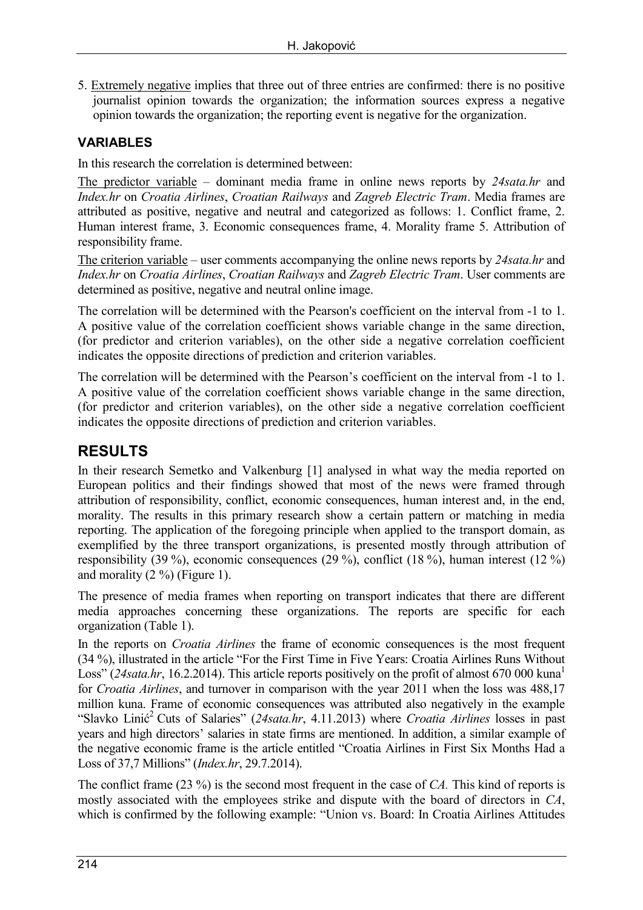5. Extremely negative implies that three out of three entries are confirmed: there is no positive journalist opinion towards the organization; the information sources express a negative opinion towards the organization; the reporting event is negative for the organization.

#### **VARIABLES**

In this research the correlation is determined between:

The predictor variable – dominant media frame in online news reports by *24sata.hr* and *Index.hr* on *Croatia Airlines*, *Croatian Railways* and *Zagreb Electric Tram*. Media frames are attributed as positive, negative and neutral and categorized as follows: 1. Conflict frame, 2. Human interest frame, 3. Economic consequences frame, 4. Morality frame 5. Attribution of responsibility frame.

The criterion variable – user comments accompanying the online news reports by *24sata.hr* and *Index.hr* on *Croatia Airlines*, *Croatian Railways* and *Zagreb Electric Tram*. User comments are determined as positive, negative and neutral online image.

The correlation will be determined with the Pearson's coefficient on the interval from -1 to 1. A positive value of the correlation coefficient shows variable change in the same direction, (for predictor and criterion variables), on the other side a negative correlation coefficient indicates the opposite directions of prediction and criterion variables.

The correlation will be determined with the Pearson's coefficient on the interval from -1 to 1. A positive value of the correlation coefficient shows variable change in the same direction, (for predictor and criterion variables), on the other side a negative correlation coefficient indicates the opposite directions of prediction and criterion variables.

### **RESULTS**

In their research Semetko and Valkenburg [1] analysed in what way the media reported on European politics and their findings showed that most of the news were framed through attribution of responsibility, conflict, economic consequences, human interest and, in the end, morality. The results in this primary research show a certain pattern or matching in media reporting. The application of the foregoing principle when applied to the transport domain, as exemplified by the three transport organizations, is presented mostly through attribution of responsibility (39 %), economic consequences (29 %), conflict (18 %), human interest (12 %) and morality  $(2 \%)$  (Figure 1).

The presence of media frames when reporting on transport indicates that there are different media approaches concerning these organizations. The reports are specific for each organization (Table 1).

In the reports on *Croatia Airlines* the frame of economic consequences is the most frequent (34 %), illustrated in the article "For the First Time in Five Years: Croatia Airlines Runs Without Loss" (24sata.hr, 16.2.2014). This article reports positively on the profit of almost 670 000 kuna<sup>1</sup> for *Croatia Airlines*, and turnover in comparison with the year 2011 when the loss was 488,17 million kuna. Frame of economic consequences was attributed also negatively in the example "Slavko Linić<sup>2</sup> Cuts of Salaries" (*24sata.hr*, 4.11.2013) where *Croatia Airlines* losses in past years and high directors' salaries in state firms are mentioned. In addition, a similar example of the negative economic frame is the article entitled "Croatia Airlines in First Six Months Had a Loss of 37,7 Millions" (*Index.hr*, 29.7.2014).

The conflict frame (23 %) is the second most frequent in the case of *CA.* This kind of reports is mostly associated with the employees strike and dispute with the board of directors in *CA*, which is confirmed by the following example: "Union vs. Board: In Croatia Airlines Attitudes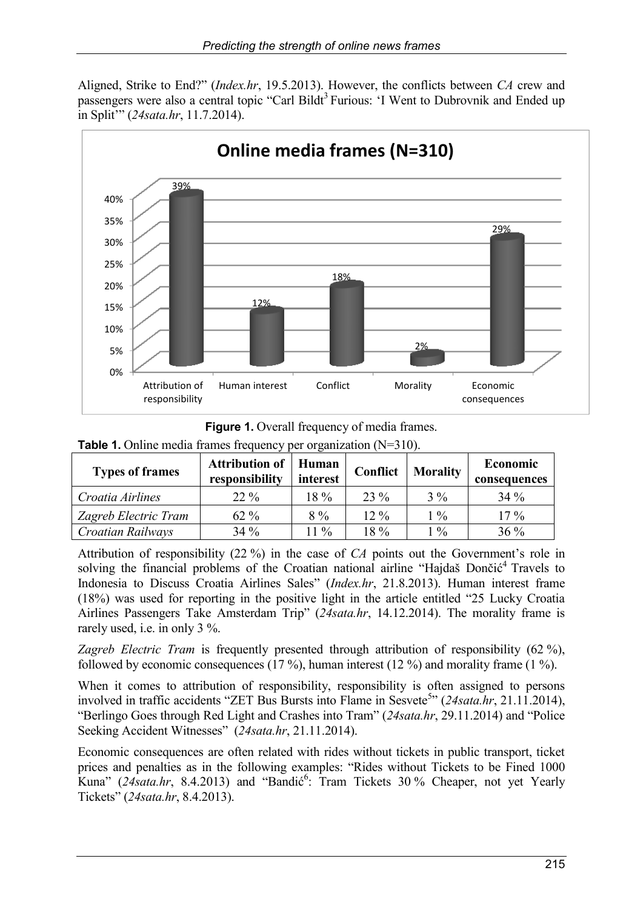Aligned, Strike to End?" (*Index.hr*, 19.5.2013). However, the conflicts between *CA* crew and passengers were also a central topic "Carl Bildt<sup>3</sup> Furious: 'I Went to Dubrovnik and Ended up in Split'" (*24sata.hr*, 11.7.2014).



**Figure 1.** Overall frequency of media frames.

|  |  | <b>Table 1.</b> Online media frames frequency per organization $(N=310)$ . |  |  |
|--|--|----------------------------------------------------------------------------|--|--|
|  |  |                                                                            |  |  |

| <b>Types of frames</b> | <b>Attribution of</b><br>responsibility | Human<br>interest | Conflict | <b>Morality</b> | Economic<br>consequences |
|------------------------|-----------------------------------------|-------------------|----------|-----------------|--------------------------|
| Croatia Airlines       | $22\%$                                  | $18\%$            | 23 %     | $3\%$           | $34\%$                   |
| Zagreb Electric Tram   | $62\%$                                  | $8\%$             | $12\%$   | $1\%$           | $17\%$                   |
| Croatian Railways      | $34\%$                                  | 11 %              | $18\%$   | $1\%$           | $36\%$                   |

Attribution of responsibility (22 %) in the case of *CA* points out the Government's role in solving the financial problems of the Croatian national airline "Hajdaš Dončić<sup>4</sup> Travels to Indonesia to Discuss Croatia Airlines Sales" (*Index.hr*, 21.8.2013). Human interest frame (18%) was used for reporting in the positive light in the article entitled "25 Lucky Croatia Airlines Passengers Take Amsterdam Trip" (*24sata.hr*, 14.12.2014). The morality frame is rarely used, i.e. in only 3 %.

*Zagreb Electric Tram* is frequently presented through attribution of responsibility (62 %), followed by economic consequences (17 %), human interest (12 %) and morality frame (1 %).

When it comes to attribution of responsibility, responsibility is often assigned to persons involved in traffic accidents "ZET Bus Bursts into Flame in Sesvete<sup>5</sup>" (24sata.hr, 21.11.2014), "Berlingo Goes through Red Light and Crashes into Tram" (*24sata.hr*, 29.11.2014) and "Police Seeking Accident Witnesses" (*24sata.hr*, 21.11.2014).

Economic consequences are often related with rides without tickets in public transport, ticket prices and penalties as in the following examples: "Rides without Tickets to be Fined 1000 Kuna" (24sata.hr, 8.4.2013) and "Bandić<sup>6</sup>: Tram Tickets 30% Cheaper, not yet Yearly Tickets" (*24sata.hr*, 8.4.2013).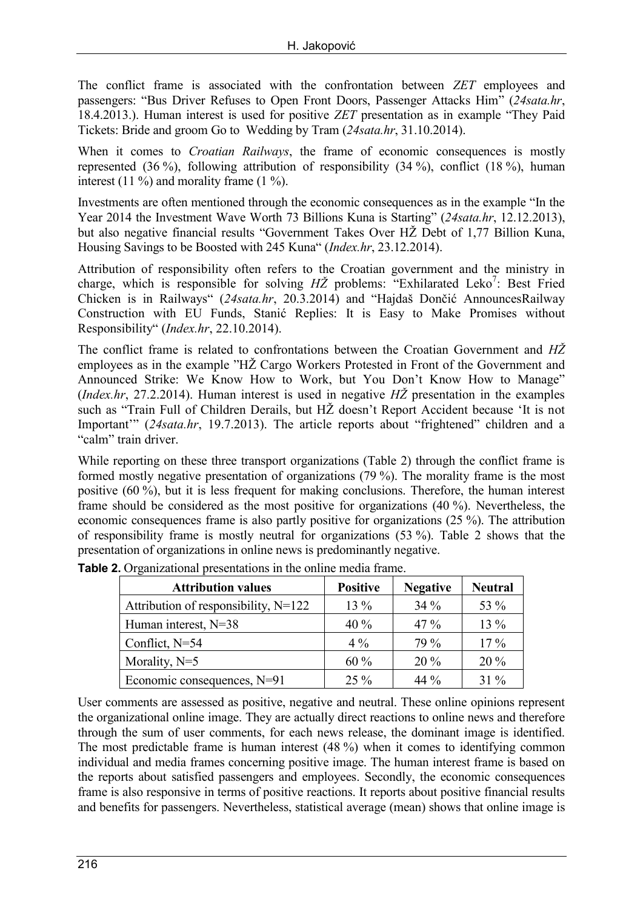The conflict frame is associated with the confrontation between *ZET* employees and passengers: "Bus Driver Refuses to Open Front Doors, Passenger Attacks Him" (*24sata.hr*, 18.4.2013.). Human interest is used for positive *ZET* presentation as in example "They Paid Tickets: Bride and groom Go to Wedding by Tram (*24sata.hr*, 31.10.2014).

When it comes to *Croatian Railways*, the frame of economic consequences is mostly represented (36 %), following attribution of responsibility (34 %), conflict (18 %), human interest (11  $\%$ ) and morality frame (1  $\%$ ).

Investments are often mentioned through the economic consequences as in the example "In the Year 2014 the Investment Wave Worth 73 Billions Kuna is Starting" (*24sata.hr*, 12.12.2013), but also negative financial results "Government Takes Over HŽ Debt of 1,77 Billion Kuna, Housing Savings to be Boosted with 245 Kuna" (*Index.hr*, 23.12.2014).

Attribution of responsibility often refers to the Croatian government and the ministry in charge, which is responsible for solving HZ problems: "Exhilarated Leko<sup>7</sup>: Best Fried Chicken is in Railways" (*24sata.hr*, 20.3.2014) and "Hajdaš Dončić AnnouncesRailway Construction with EU Funds, Stanić Replies: It is Easy to Make Promises without Responsibility" (*Index.hr*, 22.10.2014).

The conflict frame is related to confrontations between the Croatian Government and *HŽ* employees as in the example "HŽ Cargo Workers Protested in Front of the Government and Announced Strike: We Know How to Work, but You Don't Know How to Manage" (*Index.hr*, 27.2.2014). Human interest is used in negative *HŽ* presentation in the examples such as "Train Full of Children Derails, but HŽ doesn't Report Accident because 'It is not Important'" (*24sata.hr*, 19.7.2013). The article reports about "frightened" children and a "calm" train driver.

While reporting on these three transport organizations (Table 2) through the conflict frame is formed mostly negative presentation of organizations (79 %). The morality frame is the most positive (60 %), but it is less frequent for making conclusions. Therefore, the human interest frame should be considered as the most positive for organizations (40 %). Nevertheless, the economic consequences frame is also partly positive for organizations (25 %). The attribution of responsibility frame is mostly neutral for organizations (53 %). Table 2 shows that the presentation of organizations in online news is predominantly negative.

| <b>Attribution values</b>            | <b>Positive</b> | <b>Negative</b> | <b>Neutral</b> |
|--------------------------------------|-----------------|-----------------|----------------|
| Attribution of responsibility, N=122 | $13\%$          | $34\%$          | 53 %           |
| Human interest, N=38                 | 40%             | $47\%$          | $13\%$         |
| Conflict, N=54                       | $4\%$           | 79 %            | $17\%$         |
| Morality, $N=5$                      | 60%             | $20\%$          | $20\%$         |
| Economic consequences, N=91          | $25\%$          | 44 $\%$         | $31\%$         |

**Table 2.** Organizational presentations in the online media frame.

User comments are assessed as positive, negative and neutral. These online opinions represent the organizational online image. They are actually direct reactions to online news and therefore through the sum of user comments, for each news release, the dominant image is identified. The most predictable frame is human interest (48 %) when it comes to identifying common individual and media frames concerning positive image. The human interest frame is based on the reports about satisfied passengers and employees. Secondly, the economic consequences frame is also responsive in terms of positive reactions. It reports about positive financial results and benefits for passengers. Nevertheless, statistical average (mean) shows that online image is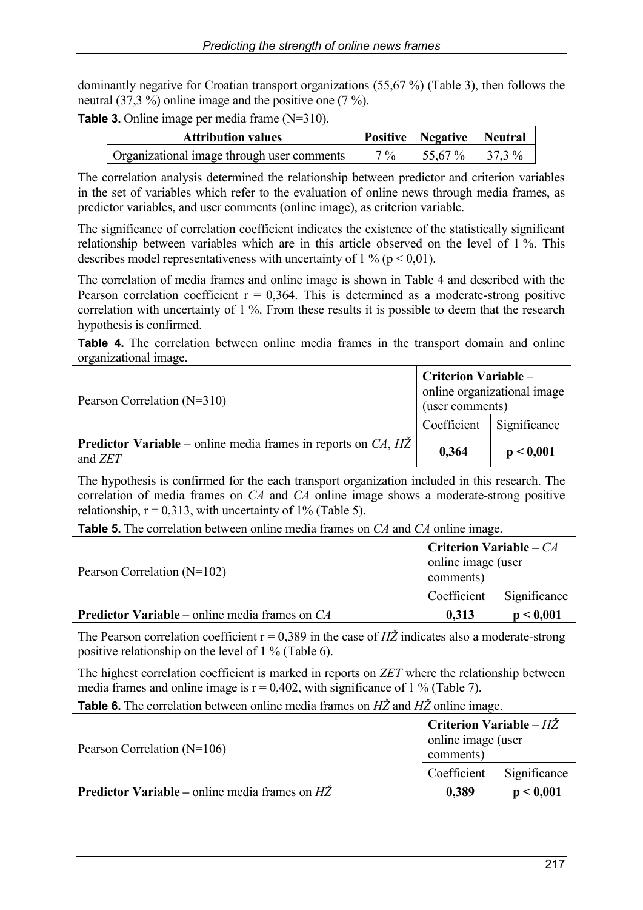dominantly negative for Croatian transport organizations (55,67 %) (Table 3), then follows the neutral (37,3 %) online image and the positive one (7 %).

**Table 3.** Online image per media frame (N=310).

| <b>Attribution values</b>                  |                | Positive   Negative   Neutral |  |
|--------------------------------------------|----------------|-------------------------------|--|
| Organizational image through user comments | $7\frac{0}{0}$ | $1\,55.67\,\%$ $1\,37.3\,\%$  |  |

The correlation analysis determined the relationship between predictor and criterion variables in the set of variables which refer to the evaluation of online news through media frames, as predictor variables, and user comments (online image), as criterion variable.

The significance of correlation coefficient indicates the existence of the statistically significant relationship between variables which are in this article observed on the level of 1 %. This describes model representativeness with uncertainty of 1 % ( $p < 0.01$ ).

The correlation of media frames and online image is shown in Table 4 and described with the Pearson correlation coefficient  $r = 0.364$ . This is determined as a moderate-strong positive correlation with uncertainty of 1 %. From these results it is possible to deem that the research hypothesis is confirmed.

**Table 4.** The correlation between online media frames in the transport domain and online organizational image.

| Pearson Correlation $(N=310)$                                                                          | <b>Criterion Variable –</b><br>online organizational image<br>(user comments) |              |
|--------------------------------------------------------------------------------------------------------|-------------------------------------------------------------------------------|--------------|
|                                                                                                        | Coefficient                                                                   | Significance |
| <b>Predictor Variable</b> – online media frames in reports on $CA$ , $H\overline{Z}$<br>and <i>ZET</i> | 0,364                                                                         | p < 0,001    |

The hypothesis is confirmed for the each transport organization included in this research. The correlation of media frames on *CA* and *CA* online image shows a moderate-strong positive relationship,  $r = 0.313$ , with uncertainty of 1% (Table 5).

**Table 5.** The correlation between online media frames on *CA* and *CA* online image.

| Pearson Correlation $(N=102)$                           | <b>Criterion Variable – CA</b><br>online image (user<br>comments) |              |
|---------------------------------------------------------|-------------------------------------------------------------------|--------------|
|                                                         | Coefficient                                                       | Significance |
| <b>Predictor Variable</b> – online media frames on $CA$ | 0.313                                                             | p < 0.001    |

The Pearson correlation coefficient  $r = 0.389$  in the case of  $H\ddot{Z}$  indicates also a moderate-strong positive relationship on the level of 1 % (Table 6).

The highest correlation coefficient is marked in reports on *ZET* where the relationship between media frames and online image is  $r = 0.402$ , with significance of 1 % (Table 7).

**Table 6.** The correlation between online media frames on *HŽ* and *HŽ* online image.

| Pearson Correlation $(N=106)$                                 | <b>Criterion Variable – HZ</b><br>online image (user<br>comments) |              |
|---------------------------------------------------------------|-------------------------------------------------------------------|--------------|
|                                                               | Coefficient                                                       | Significance |
| <b>Predictor Variable</b> – online media frames on $H\bar{Z}$ | 0.389                                                             | p < 0.001    |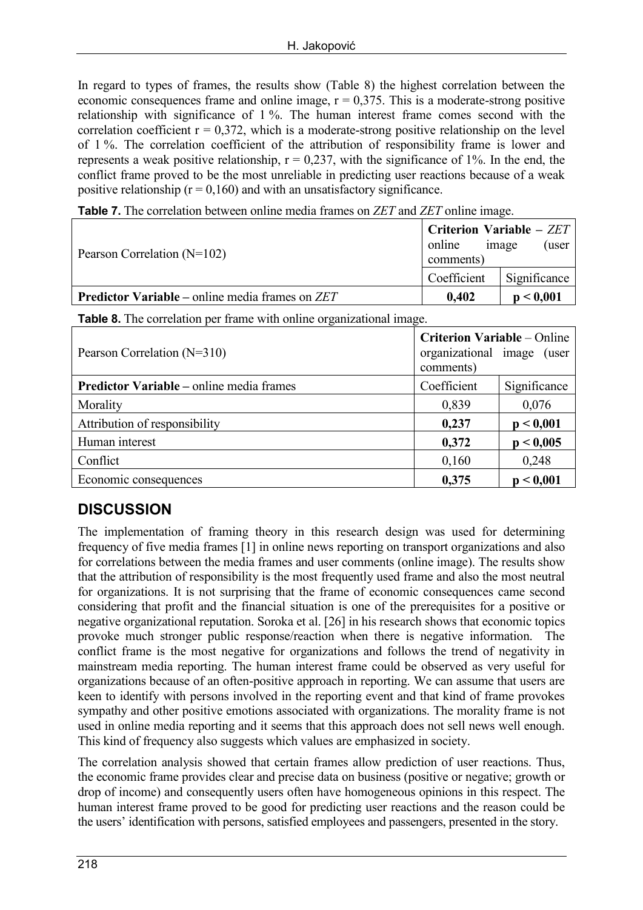In regard to types of frames, the results show (Table 8) the highest correlation between the economic consequences frame and online image,  $r = 0.375$ . This is a moderate-strong positive relationship with significance of 1 %. The human interest frame comes second with the correlation coefficient  $r = 0.372$ , which is a moderate-strong positive relationship on the level of 1 %. The correlation coefficient of the attribution of responsibility frame is lower and represents a weak positive relationship,  $r = 0.237$ , with the significance of 1%. In the end, the conflict frame proved to be the most unreliable in predicting user reactions because of a weak positive relationship ( $r = 0,160$ ) and with an unsatisfactory significance.

**Table 7.** The correlation between online media frames on *ZET* and *ZET* online image.

| Pearson Correlation $(N=102)$                          | <b>Criterion Variable – ZET</b><br>(user<br>online<br>image<br>comments) |              |  |
|--------------------------------------------------------|--------------------------------------------------------------------------|--------------|--|
|                                                        | Coefficient                                                              | Significance |  |
| <b>Predictor Variable – online media frames on ZET</b> | 0,402                                                                    | p < 0.001    |  |

**Table 8.** The correlation per frame with online organizational image.

| Pearson Correlation $(N=310)$                   | <b>Criterion Variable – Online</b><br>organizational image (user<br>comments) |              |
|-------------------------------------------------|-------------------------------------------------------------------------------|--------------|
| <b>Predictor Variable – online media frames</b> | Coefficient                                                                   | Significance |
| Morality                                        | 0,839                                                                         | 0,076        |
| Attribution of responsibility                   | 0,237                                                                         | p < 0,001    |
| Human interest                                  | 0,372                                                                         | p < 0,005    |
| Conflict                                        | 0,160                                                                         | 0,248        |
| Economic consequences                           | 0,375                                                                         | p < 0,001    |

## **DISCUSSION**

The implementation of framing theory in this research design was used for determining frequency of five media frames [1] in online news reporting on transport organizations and also for correlations between the media frames and user comments (online image). The results show that the attribution of responsibility is the most frequently used frame and also the most neutral for organizations. It is not surprising that the frame of economic consequences came second considering that profit and the financial situation is one of the prerequisites for a positive or negative organizational reputation. Soroka et al. [26] in his research shows that economic topics provoke much stronger public response/reaction when there is negative information. The conflict frame is the most negative for organizations and follows the trend of negativity in mainstream media reporting. The human interest frame could be observed as very useful for organizations because of an often-positive approach in reporting. We can assume that users are keen to identify with persons involved in the reporting event and that kind of frame provokes sympathy and other positive emotions associated with organizations. The morality frame is not used in online media reporting and it seems that this approach does not sell news well enough. This kind of frequency also suggests which values are emphasized in society.

The correlation analysis showed that certain frames allow prediction of user reactions. Thus, the economic frame provides clear and precise data on business (positive or negative; growth or drop of income) and consequently users often have homogeneous opinions in this respect. The human interest frame proved to be good for predicting user reactions and the reason could be the users' identification with persons, satisfied employees and passengers, presented in the story.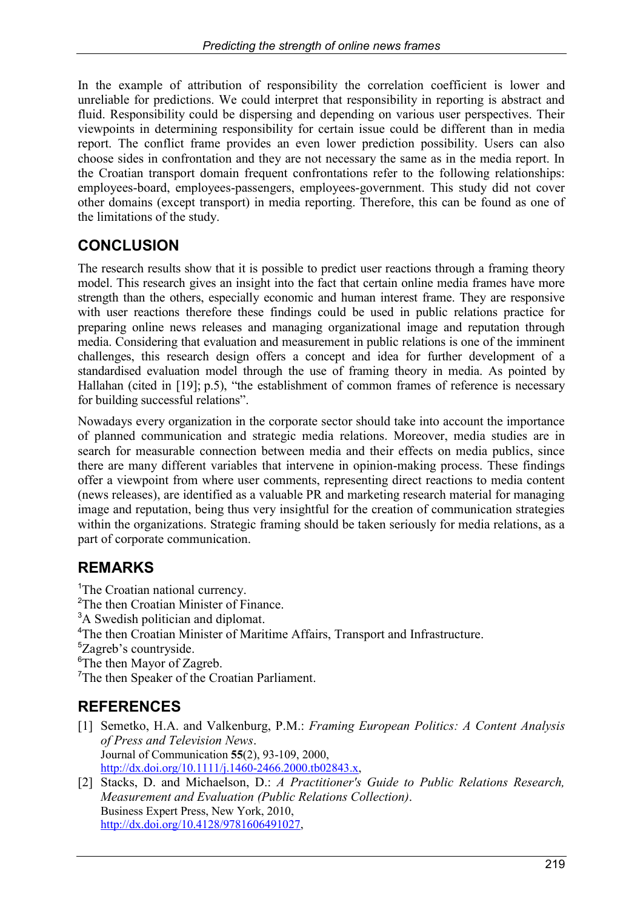In the example of attribution of responsibility the correlation coefficient is lower and unreliable for predictions. We could interpret that responsibility in reporting is abstract and fluid. Responsibility could be dispersing and depending on various user perspectives. Their viewpoints in determining responsibility for certain issue could be different than in media report. The conflict frame provides an even lower prediction possibility. Users can also choose sides in confrontation and they are not necessary the same as in the media report. In the Croatian transport domain frequent confrontations refer to the following relationships: employees-board, employees-passengers, employees-government. This study did not cover other domains (except transport) in media reporting. Therefore, this can be found as one of the limitations of the study.

## **CONCLUSION**

The research results show that it is possible to predict user reactions through a framing theory model. This research gives an insight into the fact that certain online media frames have more strength than the others, especially economic and human interest frame. They are responsive with user reactions therefore these findings could be used in public relations practice for preparing online news releases and managing organizational image and reputation through media. Considering that evaluation and measurement in public relations is one of the imminent challenges, this research design offers a concept and idea for further development of a standardised evaluation model through the use of framing theory in media. As pointed by Hallahan (cited in [19]; p.5), "the establishment of common frames of reference is necessary for building successful relations".

Nowadays every organization in the corporate sector should take into account the importance of planned communication and strategic media relations. Moreover, media studies are in search for measurable connection between media and their effects on media publics, since there are many different variables that intervene in opinion-making process. These findings offer a viewpoint from where user comments, representing direct reactions to media content (news releases), are identified as a valuable PR and marketing research material for managing image and reputation, being thus very insightful for the creation of communication strategies within the organizations. Strategic framing should be taken seriously for media relations, as a part of corporate communication.

## **REMARKS**

<sup>1</sup>The Croatian national currency.

- <sup>2</sup>The then Croatian Minister of Finance.
- <sup>3</sup>A Swedish politician and diplomat.
- <sup>4</sup>The then Croatian Minister of Maritime Affairs, Transport and Infrastructure.
- <sup>5</sup>Zagreb's countryside.
- <sup>6</sup>The then Mayor of Zagreb.

<sup>7</sup>The then Speaker of the Croatian Parliament.

## **REFERENCES**

- [1] Semetko, H.A. and Valkenburg, P.M.: *Framing European Politics: A Content Analysis of Press and Television News*. Journal of Communication **55**(2), 93-109, 2000, [http://dx.doi.org/10.1111/j.1460-2466.2000.tb02843.x,](http://dx.doi.org/10.1111/j.1460-2466.2000.tb02843.x)
- [2] Stacks, D. and Michaelson, D.: *A Practitioner's Guide to Public Relations Research, Measurement and Evaluation (Public Relations Collection)*. Business Expert Press, New York, 2010, [http://dx.doi.org/10.4128/9781606491027,](http://dx.doi.org/10.4128/9781606491027)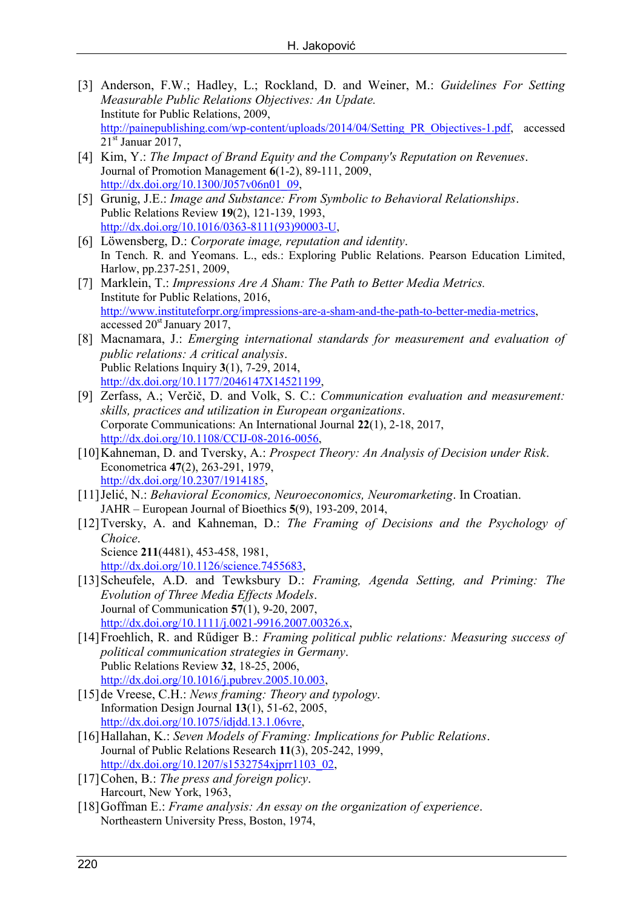- [3] Anderson, F.W.; Hadley, L.; Rockland, D. and Weiner, M.: *Guidelines For Setting Measurable Public Relations Objectives: An Update.* Institute for Public Relations, 2009, [http://painepublishing.com/wp-content/uploads/2014/04/Setting\\_PR\\_Objectives-1.pdf,](http://painepublishing.com/wp-content/uploads/2014/04/Setting_PR_Objectives-1.pdf) accessed  $21<sup>st</sup>$  Januar 2017,
- [4] Kim, Y.: *The Impact of Brand Equity and the Company's Reputation on Revenues*. Journal of Promotion Management **6**(1-2), 89-111, 2009, [http://dx.doi.org/10.1300/J057v06n01\\_09,](http://dx.doi.org/10.1300/J057v06n01_09)
- [5] Grunig, J.E.: *Image and Substance: From Symbolic to Behavioral Relationships*. Public Relations Review **19**(2), 121-139, 1993, [http://dx.doi.org/10.1016/0363-8111\(93\)90003-U,](http://dx.doi.org/10.1016/0363-8111(93)90003-U)
- [6] Löwensberg, D.: *Corporate image, reputation and identity*. In Tench. R. and Yeomans. L., eds.: Exploring Public Relations. Pearson Education Limited, Harlow, pp.237-251, 2009,
- [7] Marklein, T.: *Impressions Are A Sham: The Path to Better Media Metrics.* Institute for Public Relations, 2016, [http://www.instituteforpr.org/impressions-are-a-sham-and-the-path-to-better-media-metrics,](http://www.instituteforpr.org/impressions-are-a-sham-and-the-path-to-better-media-metrics) accessed 20<sup>st</sup> January 2017,
- [8] Macnamara, J.: *Emerging international standards for measurement and evaluation of public relations: A critical analysis*. Public Relations Inquiry **3**(1), 7-29, 2014, [http://dx.doi.org/10.1177/2046147X14521199,](http://dx.doi.org/10.1177/2046147X14521199)
- [9] Zerfass, A.; Verčič, D. and Volk, S. C.: *Communication evaluation and measurement: skills, practices and utilization in European organizations*. Corporate Communications: An International Journal **22**(1), 2-18, 2017, [http://dx.doi.org/10.1108/CCIJ-08-2016-0056,](http://dx.doi.org/10.1108/CCIJ-08-2016-0056)
- [10]Kahneman, D. and Tversky, A.: *Prospect Theory: An Analysis of Decision under Risk*. Econometrica **47**(2), 263-291, 1979, [http://dx.doi.org/10.2307/1914185,](http://dx.doi.org/10.2307/1914185)
- [11]Jelić, N.: *Behavioral Economics, Neuroeconomics, Neuromarketing*. In Croatian. JAHR – European Journal of Bioethics **5**(9), 193-209, 2014,
- [12]Tversky, A. and Kahneman, D.: *The Framing of Decisions and the Psychology of Choice*. Science **211**(4481), 453-458, 1981, [http://dx.doi.org/10.1126/science.7455683,](http://dx.doi.org/10.1126/science.7455683)
- [13]Scheufele, A.D. and Tewksbury D.: *Framing, Agenda Setting, and Priming: The Evolution of Three Media Effects Models*. Journal of Communication **57**(1), 9-20, 2007, [http://dx.doi.org/10.1111/j.0021-9916.2007.00326.x,](http://dx.doi.org/10.1111/j.0021-9916.2007.00326.x)
- [14]Froehlich, R. and Rűdiger B.: *Framing political public relations: Measuring success of political communication strategies in Germany*. Public Relations Review **32**, 18-25, 2006, [http://dx.doi.org/10.1016/j.pubrev.2005.10.003,](http://dx.doi.org/10.1016/j.pubrev.2005.10.003)
- [15]de Vreese, C.H.: *News framing: Theory and typology*. Information Design Journal **13**(1), 51-62, 2005, [http://dx.doi.org/10.1075/idjdd.13.1.06vre,](http://dx.doi.org/10.1075/idjdd.13.1.06vre)
- [16]Hallahan, K.: *Seven Models of Framing: Implications for Public Relations*. Journal of Public Relations Research **11**(3), 205-242, 1999, [http://dx.doi.org/10.1207/s1532754xjprr1103\\_02,](http://dx.doi.org/10.1207/s1532754xjprr1103_02)
- [17]Cohen, B.: *The press and foreign policy*. Harcourt, New York, 1963,
- [18]Goffman E.: *Frame analysis: An essay on the organization of experience*. Northeastern University Press, Boston, 1974,